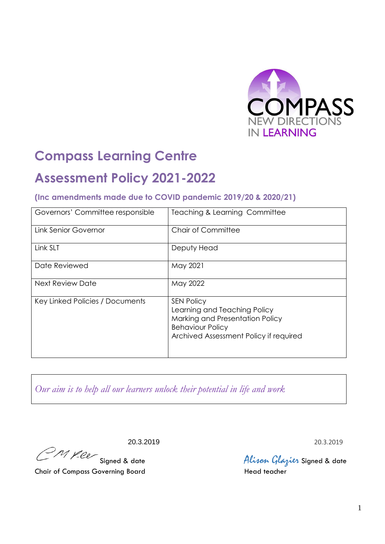

# **Compass Learning Centre**

# **Assessment Policy 2021-2022**

## **(Inc amendments made due to COVID pandemic 2019/20 & 2020/21)**

| Governors' Committee responsible | <b>Teaching &amp; Learning Committee</b>                                                                                                                  |
|----------------------------------|-----------------------------------------------------------------------------------------------------------------------------------------------------------|
| <b>Link Senior Governor</b>      | <b>Chair of Committee</b>                                                                                                                                 |
| Link SLT                         | Deputy Head                                                                                                                                               |
| Date Reviewed                    | May 2021                                                                                                                                                  |
| <b>Next Review Date</b>          | May 2022                                                                                                                                                  |
| Key Linked Policies / Documents  | <b>SEN Policy</b><br>Learning and Teaching Policy<br>Marking and Presentation Policy<br><b>Behaviour Policy</b><br>Archived Assessment Policy if required |

*Our aim is to help all our learners unlock their potential in life and work*

20.3.2019<br>20.3.2019 20.3.2019 20.3.2019<br>Alixon Glazier Signed & data

Alison Glazier Signed & date<br>Head teacher

Chair of Compass Governing Board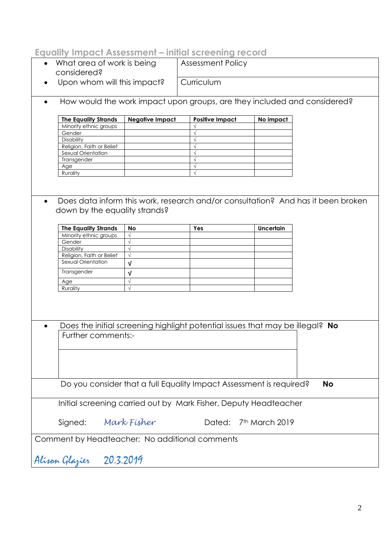# **Equality Impact Assessment – initial screening record**

- What area of work is being considered? Assessment Policy **Curriculum**
- Upon whom will this impact?
- How would the work impact upon groups, are they included and considered?

| <b>The Equality Strands</b> | <b>Negative Impact</b> | <b>Positive Impact</b> | No impact |
|-----------------------------|------------------------|------------------------|-----------|
| Minority ethnic groups      |                        |                        |           |
| Gender                      |                        |                        |           |
| <b>Disability</b>           |                        |                        |           |
| Religion, Faith or Belief   |                        |                        |           |
| Sexual Orientation          |                        |                        |           |
| Transgender                 |                        |                        |           |
| Age                         |                        |                        |           |
| Rurality                    |                        |                        |           |

 Does data inform this work, research and/or consultation? And has it been broken down by the equality strands?

| <b>The Equality Strands</b> | No | Yes | <b>Uncertain</b> |
|-----------------------------|----|-----|------------------|
| Minority ethnic groups      |    |     |                  |
| Gender                      |    |     |                  |
| <b>Disability</b>           |    |     |                  |
| Religion, Faith or Belief   |    |     |                  |
| Sexual Orientation          |    |     |                  |
| Transgender                 |    |     |                  |
| Age                         |    |     |                  |
| Rurality                    |    |     |                  |

| Does the initial screening highlight potential issues that may be illegal? No |  |
|-------------------------------------------------------------------------------|--|
| <b>Further comments:-</b>                                                     |  |

Do you consider that a full Equality Impact Assessment is required? **No**

Initial screening carried out by Mark Fisher, Deputy Headteacher

Signed: *Mark Fisher* Dated: 7th March 2019

Comment by Headteacher: No additional comments

Alison Glazier 20.3.2019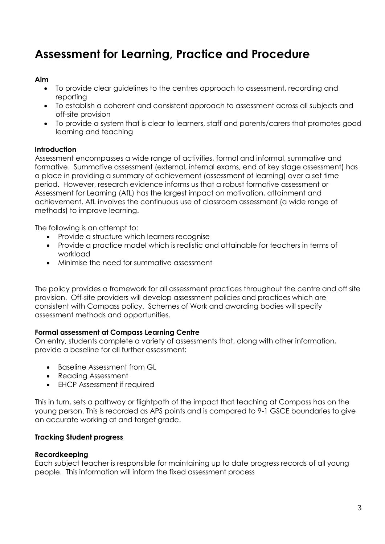# **Assessment for Learning, Practice and Procedure**

#### **Aim**

- To provide clear guidelines to the centres approach to assessment, recording and reporting
- To establish a coherent and consistent approach to assessment across all subjects and off-site provision
- To provide a system that is clear to learners, staff and parents/carers that promotes good learning and teaching

#### **Introduction**

Assessment encompasses a wide range of activities, formal and informal, summative and formative. Summative assessment (external, internal exams, end of key stage assessment) has a place in providing a summary of achievement (assessment of learning) over a set time period. However, research evidence informs us that a robust formative assessment or Assessment for Learning (AfL) has the largest impact on motivation, attainment and achievement. AfL involves the continuous use of classroom assessment (a wide range of methods) to improve learning.

The following is an attempt to:

- Provide a structure which learners recognise
- Provide a practice model which is realistic and attainable for teachers in terms of workload
- Minimise the need for summative assessment

The policy provides a framework for all assessment practices throughout the centre and off site provision. Off-site providers will develop assessment policies and practices which are consistent with Compass policy. Schemes of Work and awarding bodies will specify assessment methods and opportunities.

### **Formal assessment at Compass Learning Centre**

On entry, students complete a variety of assessments that, along with other information, provide a baseline for all further assessment:

- Baseline Assessment from GL
- Reading Assessment
- EHCP Assessment if required

This in turn, sets a pathway or flightpath of the impact that teaching at Compass has on the young person. This is recorded as APS points and is compared to 9-1 GSCE boundaries to give an accurate working at and target grade.

### **Tracking Student progress**

#### **Recordkeeping**

Each subject teacher is responsible for maintaining up to date progress records of all young people. This information will inform the fixed assessment process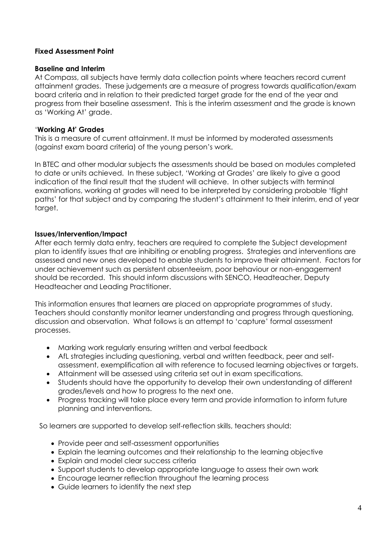#### **Fixed Assessment Point**

#### **Baseline and Interim**

At Compass, all subjects have termly data collection points where teachers record current attainment grades. These judgements are a measure of progress towards qualification/exam board criteria and in relation to their predicted target grade for the end of the year and progress from their baseline assessment. This is the interim assessment and the grade is known as 'Working At' grade.

#### '**Working At' Grades**

This is a measure of current attainment. It must be informed by moderated assessments (against exam board criteria) of the young person's work.

In BTEC and other modular subjects the assessments should be based on modules completed to date or units achieved. In these subject, 'Working at Grades' are likely to give a good indication of the final result that the student will achieve. In other subjects with terminal examinations, working at grades will need to be interpreted by considering probable 'flight paths' for that subject and by comparing the student's attainment to their interim, end of year target.

#### **Issues/Intervention/Impact**

After each termly data entry, teachers are required to complete the Subject development plan to identify issues that are inhibiting or enabling progress. Strategies and interventions are assessed and new ones developed to enable students to improve their attainment. Factors for under achievement such as persistent absenteeism, poor behaviour or non-engagement should be recorded. This should inform discussions with SENCO, Headteacher, Deputy Headteacher and Leading Practitioner.

This information ensures that learners are placed on appropriate programmes of study. Teachers should constantly monitor learner understanding and progress through questioning, discussion and observation. What follows is an attempt to 'capture' formal assessment processes.

- Marking work regularly ensuring written and verbal feedback
- AfL strategies including questioning, verbal and written feedback, peer and selfassessment, exemplification all with reference to focused learning objectives or targets.
- Attainment will be assessed using criteria set out in exam specifications.
- Students should have the opportunity to develop their own understanding of different grades/levels and how to progress to the next one.
- Progress tracking will take place every term and provide information to inform future planning and interventions.

So learners are supported to develop self-reflection skills, teachers should:

- Provide peer and self-assessment opportunities
- Explain the learning outcomes and their relationship to the learning objective
- Explain and model clear success criteria
- Support students to develop appropriate language to assess their own work
- Encourage learner reflection throughout the learning process
- Guide learners to identify the next step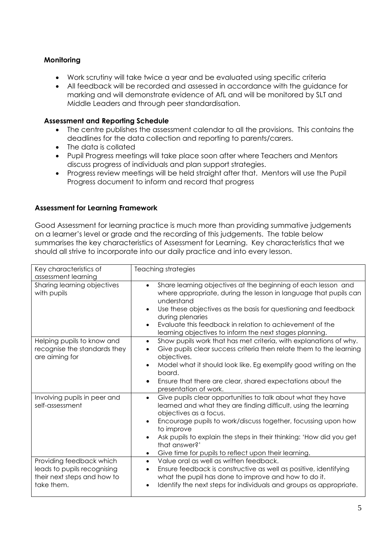#### **Monitoring**

- Work scrutiny will take twice a year and be evaluated using specific criteria
- All feedback will be recorded and assessed in accordance with the guidance for marking and will demonstrate evidence of AfL and will be monitored by SLT and Middle Leaders and through peer standardisation.

#### **Assessment and Reporting Schedule**

- The centre publishes the assessment calendar to all the provisions. This contains the deadlines for the data collection and reporting to parents/carers.
- The data is collated
- Pupil Progress meetings will take place soon after where Teachers and Mentors discuss progress of individuals and plan support strategies.
- Progress review meetings will be held straight after that. Mentors will use the Pupil Progress document to inform and record that progress

### **Assessment for Learning Framework**

Good Assessment for learning practice is much more than providing summative judgements on a learner's level or grade and the recording of this judgements. The table below summarises the key characteristics of Assessment for Learning. Key characteristics that we should all strive to incorporate into our daily practice and into every lesson.

| Key characteristics of<br>assessment learning                                                        | Teaching strategies                                                                                                                                                                                                                                                                                                                                                                                                |
|------------------------------------------------------------------------------------------------------|--------------------------------------------------------------------------------------------------------------------------------------------------------------------------------------------------------------------------------------------------------------------------------------------------------------------------------------------------------------------------------------------------------------------|
| Sharing learning objectives<br>with pupils                                                           | Share learning objectives at the beginning of each lesson and<br>$\bullet$<br>where appropriate, during the lesson in language that pupils can<br>understand<br>Use these objectives as the basis for questioning and feedback<br>during plenaries<br>Evaluate this feedback in relation to achievement of the<br>learning objectives to inform the next stages planning.                                          |
| Helping pupils to know and<br>recognise the standards they<br>are aiming for                         | Show pupils work that has met criteria, with explanations of why.<br>$\bullet$<br>Give pupils clear success criteria then relate them to the learning<br>objectives.<br>Model what it should look like. Eg exemplify good writing on the<br>board.<br>Ensure that there are clear, shared expectations about the<br>$\bullet$<br>presentation of work.                                                             |
| Involving pupils in peer and<br>self-assessment                                                      | Give pupils clear opportunities to talk about what they have<br>$\bullet$<br>learned and what they are finding difficult, using the learning<br>objectives as a focus.<br>Encourage pupils to work/discuss together, focussing upon how<br>to improve<br>Ask pupils to explain the steps in their thinking: 'How did you get<br>that answer?'<br>Give time for pupils to reflect upon their learning.<br>$\bullet$ |
| Providing feedback which<br>leads to pupils recognising<br>their next steps and how to<br>take them. | Value oral as well as written feedback.<br>$\bullet$<br>Ensure feedback is constructive as well as positive, identifying<br>$\bullet$<br>what the pupil has done to improve and how to do it.<br>Identify the next steps for individuals and groups as appropriate.                                                                                                                                                |